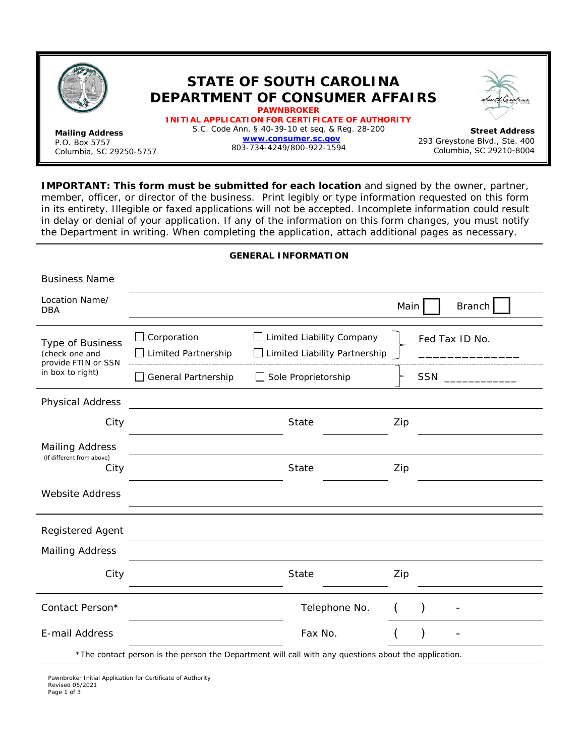

Business Name

## **STATE OF SOUTH CAROLINA DEPARTMENT OF CONSUMER AFFAIRS PAWNBROKER**

**Mailing Address** P.O. Box 5757 Columbia, SC 29250-5757 **INITIAL APPLICATION FOR CERTIFICATE OF AUTHORITY** S.C. Code Ann. § 40-39-10 et seq. & Reg. 28-200 **[www.consumer.sc.gov](http://www.consumer.sc.gov/)** 803-734-4249/800-922-1594

**Street Address**  293 Greystone Blvd., Ste. 400 Columbia, SC 29210-8004

**IMPORTANT: This form must be submitted for each location** and signed by the owner, partner, member, officer, or director of the business. Print legibly or type information requested on this form in its entirety. Illegible or faxed applications will not be accepted. Incomplete information could result in delay or denial of your application. If any of the information on this form changes, you must notify the Department in writing. When completing the application, attach additional pages as necessary.

## **GENERAL INFORMATION**

| Location Name/<br><b>DBA</b>                                                                         |                                           |                                                                          | Main |           | <b>Branch</b>      |
|------------------------------------------------------------------------------------------------------|-------------------------------------------|--------------------------------------------------------------------------|------|-----------|--------------------|
| Type of Business<br>(check one and<br>provide FTIN or SSN                                            | Corporation<br><b>Limited Partnership</b> | $\Box$ Limited Liability Company<br>$\Box$ Limited Liability Partnership |      |           | Fed Tax ID No.     |
| in box to right)                                                                                     | General Partnership                       | Sole Proprietorship                                                      |      |           | SSN ______________ |
| <b>Physical Address</b>                                                                              |                                           |                                                                          |      |           |                    |
| City                                                                                                 |                                           | <b>State</b>                                                             | Zip  |           |                    |
| <b>Mailing Address</b><br>(If different from above)<br>City                                          |                                           | State                                                                    | Zip  |           |                    |
| <b>Website Address</b>                                                                               |                                           |                                                                          |      |           |                    |
| Registered Agent                                                                                     |                                           |                                                                          |      |           |                    |
| <b>Mailing Address</b>                                                                               |                                           |                                                                          |      |           |                    |
| City                                                                                                 |                                           | <b>State</b>                                                             | Zip  |           |                    |
| Contact Person*                                                                                      |                                           | Telephone No.                                                            |      | $\lambda$ |                    |
| E-mail Address                                                                                       |                                           | Fax No.                                                                  |      |           |                    |
| *The contact person is the person the Department will call with any questions about the application. |                                           |                                                                          |      |           |                    |

Pawnbroker Initial Application for Certificate of Authority Revised 05/2021 Page 1 of 3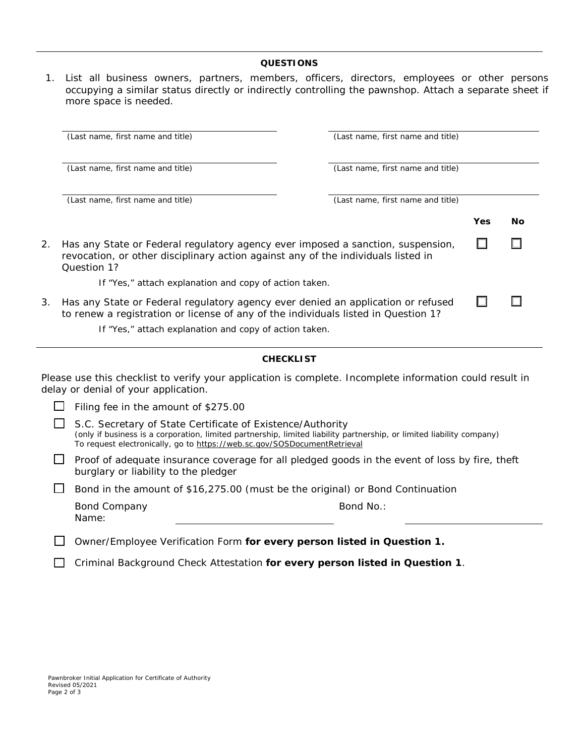## **QUESTIONS**

1. List all business owners, partners, members, officers, directors, employees or other persons occupying a similar status directly or indirectly controlling the pawnshop. Attach a separate sheet if more space is needed.

|    | (Last name, first name and title)                                                                                                                                                   | (Last name, first name and title) |     |    |  |
|----|-------------------------------------------------------------------------------------------------------------------------------------------------------------------------------------|-----------------------------------|-----|----|--|
|    | (Last name, first name and title)                                                                                                                                                   | (Last name, first name and title) |     |    |  |
|    | (Last name, first name and title)                                                                                                                                                   | (Last name, first name and title) |     |    |  |
|    |                                                                                                                                                                                     |                                   | Yes | No |  |
| 2. | Has any State or Federal regulatory agency ever imposed a sanction, suspension,<br>revocation, or other disciplinary action against any of the individuals listed in<br>Question 1? |                                   |     |    |  |
|    | If "Yes," attach explanation and copy of action taken.                                                                                                                              |                                   |     |    |  |
| 3. | Has any State or Federal regulatory agency ever denied an application or refused<br>to renew a registration or license of any of the individuals listed in Question 1?              |                                   |     |    |  |
|    | If "Yes," attach explanation and copy of action taken.                                                                                                                              |                                   |     |    |  |

## **CHECKLIST**

Please use this checklist to verify your application is complete. Incomplete information could result in delay or denial of your application.

| $\Box$ Filing fee in the amount of \$275.00                                                                                                                                                                                                                            |
|------------------------------------------------------------------------------------------------------------------------------------------------------------------------------------------------------------------------------------------------------------------------|
| $\Box$ S.C. Secretary of State Certificate of Existence/Authority<br>(only if business is a corporation, limited partnership, limited liability partnership, or limited liability company)<br>To request electronically, go to https://web.sc.gov/SOSDocumentRetrieval |
| Proof of adequate insurance coverage for all pledged goods in the event of loss by fire, the                                                                                                                                                                           |

| $\Box$ Proof of adequate insurance coverage for all pledged goods in the event of loss by fire, theft |  |
|-------------------------------------------------------------------------------------------------------|--|
| burglary or liability to the pledger                                                                  |  |

 $\Box$  Bond in the amount of \$16,275.00 (must be the original) or Bond Continuation

| <b>Bond Company</b> |  |
|---------------------|--|
| Name:               |  |

Bond No.:

Owner/Employee Verification Form **for every person listed in Question 1.**

Criminal Background Check Attestation **for every person listed in Question 1**.